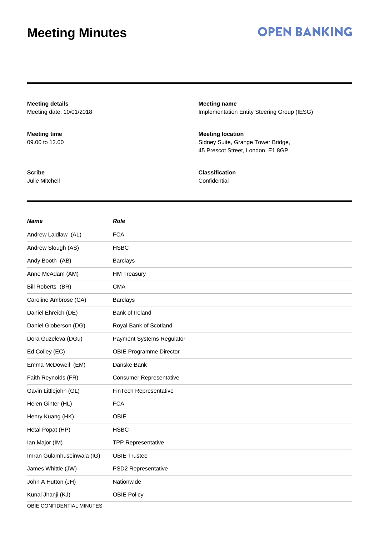# **OPEN BANKING**

**Meeting details** Meeting date: 10/01/2018 **Meeting name** Implementation Entity Steering Group (IESG) **Meeting time** 09.00 to 12.00 **Meeting location** Sidney Suite, Grange Tower Bridge, 45 Prescot Street, London, E1 8GP. **Scribe** Julie Mitchell **Classification Confidential** 

| <b>Name</b>                | <b>Role</b>                    |
|----------------------------|--------------------------------|
| Andrew Laidlaw (AL)        | <b>FCA</b>                     |
| Andrew Slough (AS)         | <b>HSBC</b>                    |
| Andy Booth (AB)            | <b>Barclays</b>                |
| Anne McAdam (AM)           | <b>HM Treasury</b>             |
| Bill Roberts (BR)          | <b>CMA</b>                     |
| Caroline Ambrose (CA)      | <b>Barclays</b>                |
| Daniel Ehreich (DE)        | Bank of Ireland                |
| Daniel Globerson (DG)      | Royal Bank of Scotland         |
| Dora Guzeleva (DGu)        | Payment Systems Regulator      |
| Ed Colley (EC)             | <b>OBIE Programme Director</b> |
| Emma McDowell (EM)         | Danske Bank                    |
| Faith Reynolds (FR)        | <b>Consumer Representative</b> |
| Gavin Littlejohn (GL)      | FinTech Representative         |
| Helen Ginter (HL)          | <b>FCA</b>                     |
| Henry Kuang (HK)           | <b>OBIE</b>                    |
| Hetal Popat (HP)           | <b>HSBC</b>                    |
| Ian Major (IM)             | <b>TPP Representative</b>      |
| Imran Gulamhuseinwala (IG) | <b>OBIE Trustee</b>            |
| James Whittle (JW)         | PSD2 Representative            |
| John A Hutton (JH)         | Nationwide                     |
| Kunal Jhanji (KJ)          | <b>OBIE Policy</b>             |

OBIE CONFIDENTIAL MINUTES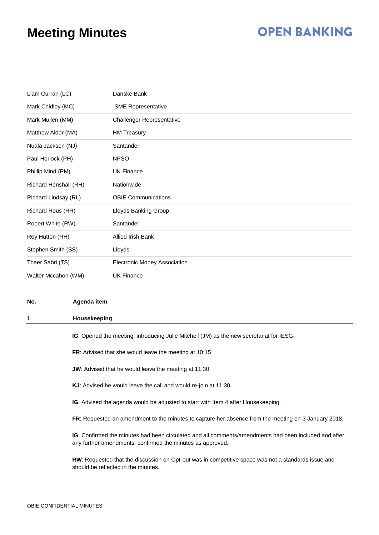## **OPEN BANKING**

| Liam Curran (LC)      | Danske Bank                         |
|-----------------------|-------------------------------------|
| Mark Chidley (MC)     | <b>SME Representative</b>           |
| Mark Mullen (MM)      | <b>Challenger Representative</b>    |
| Matthew Alder (MA)    | <b>HM Treasury</b>                  |
| Nuala Jackson (NJ)    | Santander                           |
| Paul Horlock (PH)     | <b>NPSO</b>                         |
| Phillip Mind (PM)     | <b>UK Finance</b>                   |
| Richard Henshall (RH) | Nationwide                          |
| Richard Lindsay (RL)  | <b>OBIE Communications</b>          |
| Richard Rous (RR)     | Lloyds Banking Group                |
| Robert White (RW)     | Santander                           |
| Roy Hutton (RH)       | Allied Irish Bank                   |
| Stephen Smith (SS)    | Lloyds                              |
| Thaer Sabri (TS)      | <b>Electronic Money Association</b> |
| Walter Mccahon (WM)   | <b>UK Finance</b>                   |

#### **No. Agenda item**

### **1 Housekeeping**

**IG**: Opened the meeting, introducing Julie Mitchell (JM) as the new secretariat for IESG.

**FR**: Advised that she would leave the meeting at 10:15

- **JW**: Advised that he would leave the meeting at 11:30
- **KJ**: Advised he would leave the call and would re-join at 11:30

**IG**: Advised the agenda would be adjusted to start with Item 4 after Housekeeping.

**FR**: Requested an amendment to the minutes to capture her absence from the meeting on 3 January 2018.

**IG**: Confirmed the minutes had been circulated and all comments/amendments had been included and after any further amendments, confirmed the minutes as approved.

**RW**: Requested that the discussion on Opt-out was in competitive space was not a standards issue and should be reflected in the minutes.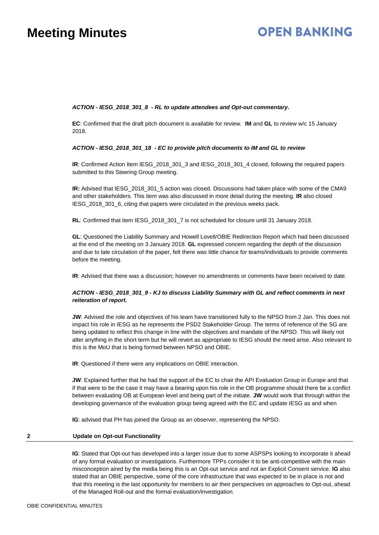# **OPEN BANKING**

### *ACTION - IESG\_2018\_301\_8 - RL to update attendees and Opt-out commentary.*

**EC**: Confirmed that the draft pitch document is available for review. **IM** and **GL** to review w/c 15 January 2018.

### *ACTION - IESG\_2018\_301\_18 - EC to provide pitch documents to IM and GL to review*

**IR:** Confirmed Action Item IESG 2018 301 3 and IESG 2018 301 4 closed, following the required papers submitted to this Steering Group meeting.

**IR:** Advised that IESG\_2018\_301\_5 action was closed. Discussions had taken place with some of the CMA9 and other stakeholders. This item was also discussed in more detail during the meeting. **IR** also closed IESG\_2018\_301\_6, citing that papers were circulated in the previous weeks pack.

**RL**: Confirmed that item IESG\_2018\_301\_7 is not scheduled for closure until 31 January 2018.

**GL**: Questioned the Liability Summary and Howell Lovell/OBIE Redirection Report which had been discussed at the end of the meeting on 3 January 2018. **GL** expressed concern regarding the depth of the discussion and due to late circulation of the paper, felt there was little chance for teams/individuals to provide comments before the meeting.

**IR**: Advised that there was a discussion; however no amendments or comments have been received to date.

### *ACTION - IESG\_2018\_301\_9 - KJ to discuss Liability Summary with GL and reflect comments in next reiteration of report.*

**JW**: Advised the role and objectives of his team have transitioned fully to the NPSO from 2 Jan. This does not impact his role in IESG as he represents the PSD2 Stakeholder Group. The terms of reference of the SG are being updated to reflect this change in line with the objectives and mandate of the NPSO. This will likely not alter anything in the short term but he will revert as appropriate to IESG should the need arise. Also relevant to this is the MoU that is being formed between NPSO and OBIE.

**IR**: Questioned if there were any implications on OBIE interaction.

**JW**: Explained further that he had the support of the EC to chair the API Evaluation Group in Europe and that if that were to be the case it may have a bearing upon his role in the OB programme should there be a conflict between evaluating OB at European level and being part of the initiate. **JW** would work that through within the developing governance of the evaluation group being agreed with the EC and update IESG as and when

**IG**: advised that PH has joined the Group as an observer, representing the NPSO.

### **2 Update on Opt-out Functionality**

**IG**: Stated that Opt-out has developed into a larger issue due to some ASPSPs looking to incorporate it ahead of any formal evaluation or investigations. Furthermore TPPs consider it to be anti-competitive with the main misconception aired by the media being this is an Opt-out service and not an Explicit Consent service. **IG** also stated that an OBIE perspective, some of the core infrastructure that was expected to be in place is not and that this meeting is the last opportunity for members to air their perspectives on approaches to Opt-out, ahead of the Managed Roll-out and the formal evaluation/investigation.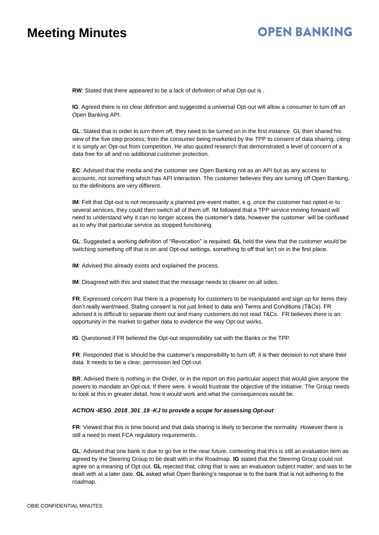# **OPEN BANKING**

**RW**: Stated that there appeared to be a lack of definition of what Opt-out is .

**IG**: Agreed there is no clear definition and suggested a universal Opt-out will allow a consumer to turn off an Open Banking API.

**GL**: Stated that in order to turn them off, they need to be turned on in the first instance. GL then shared his view of the five step process; from the consumer being marketed by the TPP to consent of data sharing, citing it is simply an Opt-out from competition. He also quoted research that demonstrated a level of concern of a data free for all and no additional customer protection.

**EC**: Advised that the media and the customer see Open Banking not as an API but as any access to accounts, not something which has API interaction. The customer believes they are turning off Open Banking, so the definitions are very different.

**IM**: Felt that Opt-out is not necessarily a planned pre-event matter, e.g. once the customer has opted-in to several services, they could then switch all of them off. IM followed that a TPP service moving forward will need to understand why it can no longer access the customer's data, however the customer will be confused as to why that particular service as stopped functioning.

**GL**: Suggested a working definition of "Revocation" is required. **GL** held the view that the customer would be switching something off that is on and Opt-out settings, something to off that isn't on in the first place.

**IM**: Advised this already exists and explained the process.

**IM**: Disagreed with this and stated that the message needs to clearer on all sides.

**FR**: Expressed concern that there is a propensity for customers to be manipulated and sign up for items they don't really want/need. Stating consent is not just linked to data and Terms and Conditions (T&Cs). FR advised it is difficult to separate them out and many customers do not read T&Cs. FR believes there is an opportunity in the market to gather data to evidence the way Opt out works.

**IG**: Questioned if FR believed the Opt-out responsibility sat with the Banks or the TPP.

**FR**: Responded that is should be the customer's responsibility to turn off, it is their decision to not share their data. It needs to be a clear, permission led Opt-out.

**BR**: Advised there is nothing in the Order, or in the report on this particular aspect that would give anyone the powers to mandate an Opt-out. If there were, it would frustrate the objective of the initiative. The Group needs to look at this in greater detail, how it would work and what the consequences would be.

### *ACTION -IESG\_2018\_301\_19 -KJ* **to** *provide a scope for assessing Opt-out*

**FR**: Viewed that this is time bound and that data sharing is likely to become the normality. However there is still a need to meet FCA regulatory requirements.

**GL**: Advised that one bank is due to go live in the near future, contesting that this is still an evaluation item as agreed by the Steering Group to be dealt with in the Roadmap. **IG** stated that the Steering Group could not agree on a meaning of Opt-out. **GL** rejected that, citing that is was an evaluation subject matter, and was to be dealt with at a later date. **GL** asked what Open Banking's response is to the bank that is not adhering to the roadmap.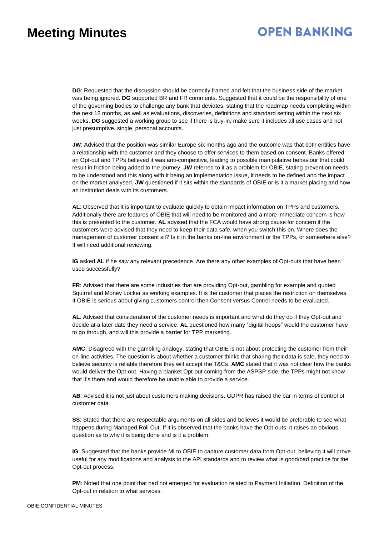# **OPEN BANKING**

**DG**: Requested that the discussion should be correctly framed and felt that the business side of the market was being ignored. **DG** supported BR and FR comments. Suggested that it could be the responsibility of one of the governing bodies to challenge any bank that deviates, stating that the roadmap needs completing within the next 18 months, as well as evaluations, discoveries, definitions and standard setting within the next six weeks. **DG** suggested a working group to see if there is buy-in, make sure it includes all use cases and not just presumptive, single, personal accounts.

**JW**: Advised that the position was similar Europe six months ago and the outcome was that both entities have a relationship with the customer and they choose to offer services to them based on consent. Banks offered an Opt-out and TPPs believed it was anti-competitive, leading to possible manipulative behaviour that could result in friction being added to the journey. **JW** referred to it as a problem for OBIE, stating prevention needs to be understood and this along with it being an implementation issue, it needs to be defined and the impact on the market analysed. **JW** questioned if it sits within the standards of OBIE or is it a market placing and how an institution deals with its customers.

**AL**: Observed that it is important to evaluate quickly to obtain impact information on TPPs and customers. Additionally there are features of OBIE that will need to be monitored and a more immediate concern is how this is presented to the customer. **AL** advised that the FCA would have strong cause for concern if the customers were advised that they need to keep their data safe, when you switch this on. Where does the management of customer consent sit? Is it in the banks on-line environment or the TPPs, or somewhere else? It will need additional reviewing.

**IG** asked **AL** if he saw any relevant precedence. Are there any other examples of Opt-outs that have been used successfully?

**FR**: Advised that there are some industries that are providing Opt-out, gambling for example and quoted Squirrel and Money Locker as working examples. It is the customer that places the restriction on themselves. If OBIE is serious about giving customers control then Consent versus Control needs to be evaluated.

**AL**: Advised that consideration of the customer needs is important and what do they do if they Opt-out and decide at a later date they need a service. **AL** questioned how many "digital hoops" would the customer have to go through, and will this provide a barrier for TPP marketing.

**AMC**: Disagreed with the gambling analogy, stating that OBIE is not about protecting the customer from their on-line activities. The question is about whether a customer thinks that sharing their data is safe, they need to believe security is reliable therefore they will accept the T&Cs. **AMC** stated that it was not clear how the banks would deliver the Opt-out. Having a blanket Opt-out coming from the ASPSP side, the TPPs might not know that it's there and would therefore be unable able to provide a service.

**AB**: Advised it is not just about customers making decisions. GDPR has raised the bar in terms of control of customer data

**SS**: Stated that there are respectable arguments on all sides and believes it would be preferable to see what happens during Managed Roll Out. If it is observed that the banks have the Opt-outs, it raises an obvious question as to why it is being done and is it a problem.

**IG**: Suggested that the banks provide MI to OBIE to capture customer data from Opt-out, believing it will prove useful for any modifications and analysis to the API standards and to review what is good/bad practice for the Opt-out process.

**PM**: Noted that one point that had not emerged for evaluation related to Payment Initiation. Definition of the Opt-out in relation to what services.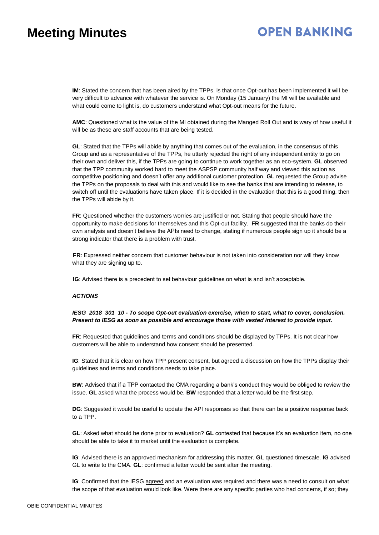# **OPEN BANKING**

**IM**: Stated the concern that has been aired by the TPPs, is that once Opt-out has been implemented it will be very difficult to advance with whatever the service is. On Monday (15 January) the MI will be available and what could come to light is, do customers understand what Opt-out means for the future.

**AMC**: Questioned what is the value of the MI obtained during the Manged Roll Out and is wary of how useful it will be as these are staff accounts that are being tested.

**GL**: Stated that the TPPs will abide by anything that comes out of the evaluation, in the consensus of this Group and as a representative of the TPPs, he utterly rejected the right of any independent entity to go on their own and deliver this, if the TPPs are going to continue to work together as an eco-system. **GL** observed that the TPP community worked hard to meet the ASPSP community half way and viewed this action as competitive positioning and doesn't offer any additional customer protection. **GL** requested the Group advise the TPPs on the proposals to deal with this and would like to see the banks that are intending to release, to switch off until the evaluations have taken place. If it is decided in the evaluation that this is a good thing, then the TPPs will abide by it.

**FR**: Questioned whether the customers worries are justified or not. Stating that people should have the opportunity to make decisions for themselves and this Opt-out facility. **FR** suggested that the banks do their own analysis and doesn't believe the APIs need to change, stating if numerous people sign up it should be a strong indicator that there is a problem with trust.

**FR**: Expressed neither concern that customer behaviour is not taken into consideration nor will they know what they are signing up to.

**IG**: Advised there is a precedent to set behaviour guidelines on what is and isn't acceptable.

### *ACTIONS*

*IESG\_2018\_301\_10 - To scope Opt-out evaluation exercise, when to start, what to cover, conclusion. Present to IESG as soon as possible and encourage those with vested interest to provide input.*

**FR**: Requested that guidelines and terms and conditions should be displayed by TPPs. It is not clear how customers will be able to understand how consent should be presented.

**IG**: Stated that it is clear on how TPP present consent, but agreed a discussion on how the TPPs display their guidelines and terms and conditions needs to take place.

**BW**: Advised that if a TPP contacted the CMA regarding a bank's conduct they would be obliged to review the issue. **GL** asked what the process would be. **BW** responded that a letter would be the first step.

**DG**: Suggested it would be useful to update the API responses so that there can be a positive response back to a TPP.

**GL**: Asked what should be done prior to evaluation? **GL** contested that because it's an evaluation item, no one should be able to take it to market until the evaluation is complete.

**IG**: Advised there is an approved mechanism for addressing this matter. **GL** questioned timescale. **IG** advised GL to write to the CMA. **GL**: confirmed a letter would be sent after the meeting.

**IG**: Confirmed that the IESG agreed and an evaluation was required and there was a need to consult on what the scope of that evaluation would look like. Were there are any specific parties who had concerns, if so; they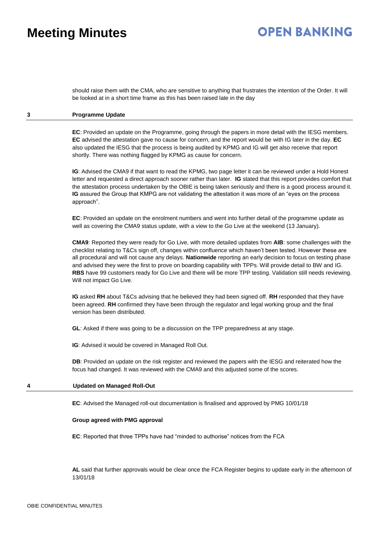# **OPEN BANKING**

should raise them with the CMA, who are sensitive to anything that frustrates the intention of the Order. It will be looked at in a short time frame as this has been raised late in the day

### **3 Programme Update**

**EC**: Provided an update on the Programme, going through the papers in more detail with the IESG members. **EC** advised the attestation gave no cause for concern, and the report would be with IG later in the day. **EC** also updated the IESG that the process is being audited by KPMG and IG will get also receive that report shortly. There was nothing flagged by KPMG as cause for concern.

**IG**: Advised the CMA9 if that want to read the KPMG, two page letter it can be reviewed under a Hold Honest letter and requested a direct approach sooner rather than later. **IG** stated that this report provides comfort that the attestation process undertaken by the OBIE is being taken seriously and there is a good process around it. **IG** assured the Group that KMPG are not validating the attestation it was more of an "eyes on the process approach".

**EC**: Provided an update on the enrolment numbers and went into further detail of the programme update as well as covering the CMA9 status update, with a view to the Go Live at the weekend (13 January).

**CMA9**: Reported they were ready for Go Live, with more detailed updates from **AIB**: some challenges with the checklist relating to T&Cs sign off, changes within confluence which haven't been tested. However these are all procedural and will not cause any delays. **Nationwide** reporting an early decision to focus on testing phase and advised they were the first to prove on boarding capability with TPPs. Will provide detail to BW and IG. **RBS** have 99 customers ready for Go Live and there will be more TPP testing. Validation still needs reviewing. Will not impact Go Live.

**IG** asked **RH** about T&Cs advising that he believed they had been signed off. **RH** responded that they have been agreed. **RH** confirmed they have been through the regulator and legal working group and the final version has been distributed.

**GL**: Asked if there was going to be a discussion on the TPP preparedness at any stage.

**IG**: Advised it would be covered in Managed Roll Out.

**DB**: Provided an update on the risk register and reviewed the papers with the IESG and reiterated how the focus had changed. It was reviewed with the CMA9 and this adjusted some of the scores.

### **4 Updated on Managed Roll-Out**

**EC**: Advised the Managed roll-out documentation is finalised and approved by PMG 10/01/18

#### **Group agreed with PMG approval**

**EC**: Reported that three TPPs have had "minded to authorise" notices from the FCA

**AL** said that further approvals would be clear once the FCA Register begins to update early in the afternoon of 13/01/18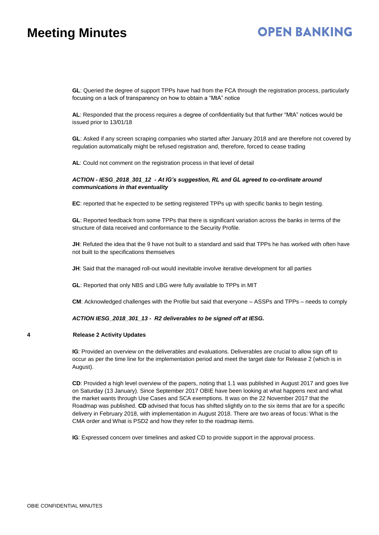# **OPEN BANKING**

**GL**: Queried the degree of support TPPs have had from the FCA through the registration process, particularly focusing on a lack of transparency on how to obtain a "MtA" notice

**AL**: Responded that the process requires a degree of confidentiality but that further "MtA" notices would be issued prior to 13/01/18

**GL**: Asked if any screen scraping companies who started after January 2018 and are therefore not covered by regulation automatically might be refused registration and, therefore, forced to cease trading

**AL**: Could not comment on the registration process in that level of detail

### *ACTION - IESG\_2018\_301\_12 - At IG's suggestion, RL and GL agreed to co-ordinate around communications in that eventuality*

**EC**: reported that he expected to be setting registered TPPs up with specific banks to begin testing.

**GL**: Reported feedback from some TPPs that there is significant variation across the banks in terms of the structure of data received and conformance to the Security Profile.

**JH**: Refuted the idea that the 9 have not built to a standard and said that TPPs he has worked with often have not built to the specifications themselves

**JH**: Said that the managed roll-out would inevitable involve iterative development for all parties

**GL**: Reported that only NBS and LBG were fully available to TPPs in MIT

**CM**: Acknowledged challenges with the Profile but said that everyone – ASSPs and TPPs – needs to comply

### *ACTION IESG\_2018\_301\_13 - R2 deliverables to be signed off at IESG.*

### **4 Release 2 Activity Updates**

**IG**: Provided an overview on the deliverables and evaluations. Deliverables are crucial to allow sign off to occur as per the time line for the implementation period and meet the target date for Release 2 (which is in August).

**CD**: Provided a high level overview of the papers, noting that 1.1 was published in August 2017 and goes live on Saturday (13 January). Since September 2017 OBIE have been looking at what happens next and what the market wants through Use Cases and SCA exemptions. It was on the 22 November 2017 that the Roadmap was published. **CD** advised that focus has shifted slightly on to the six items that are for a specific delivery in February 2018, with implementation in August 2018. There are two areas of focus: What is the CMA order and What is PSD2 and how they refer to the roadmap items.

**IG**: Expressed concern over timelines and asked CD to provide support in the approval process.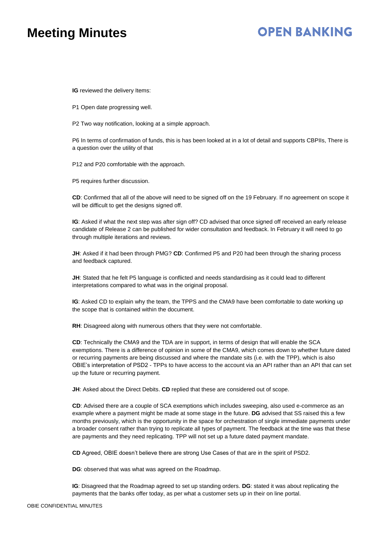## **OPEN BANKING**

**IG** reviewed the delivery Items:

P1 Open date progressing well.

P2 Two way notification, looking at a simple approach.

P6 In terms of confirmation of funds, this is has been looked at in a lot of detail and supports CBPIIs, There is a question over the utility of that

P12 and P20 comfortable with the approach.

P5 requires further discussion.

**CD**: Confirmed that all of the above will need to be signed off on the 19 February. If no agreement on scope it will be difficult to get the designs signed off.

**IG**: Asked if what the next step was after sign off? CD advised that once signed off received an early release candidate of Release 2 can be published for wider consultation and feedback. In February it will need to go through multiple iterations and reviews.

**JH**: Asked if it had been through PMG? **CD**: Confirmed P5 and P20 had been through the sharing process and feedback captured.

**JH**: Stated that he felt P5 language is conflicted and needs standardising as it could lead to different interpretations compared to what was in the original proposal.

**IG**: Asked CD to explain why the team, the TPPS and the CMA9 have been comfortable to date working up the scope that is contained within the document.

**RH**: Disagreed along with numerous others that they were not comfortable.

**CD**: Technically the CMA9 and the TDA are in support, in terms of design that will enable the SCA exemptions. There is a difference of opinion in some of the CMA9, which comes down to whether future dated or recurring payments are being discussed and where the mandate sits (i.e. with the TPP), which is also OBIE's interpretation of PSD2 - TPPs to have access to the account via an API rather than an API that can set up the future or recurring payment.

**JH**: Asked about the Direct Debits. **CD** replied that these are considered out of scope.

**CD**: Advised there are a couple of SCA exemptions which includes sweeping, also used e-commerce as an example where a payment might be made at some stage in the future. **DG** advised that SS raised this a few months previously, which is the opportunity in the space for orchestration of single immediate payments under a broader consent rather than trying to replicate all types of payment. The feedback at the time was that these are payments and they need replicating. TPP will not set up a future dated payment mandate.

**CD** Agreed, OBIE doesn't believe there are strong Use Cases of that are in the spirit of PSD2.

**DG**: observed that was what was agreed on the Roadmap.

**IG**: Disagreed that the Roadmap agreed to set up standing orders. **DG**: stated it was about replicating the payments that the banks offer today, as per what a customer sets up in their on line portal.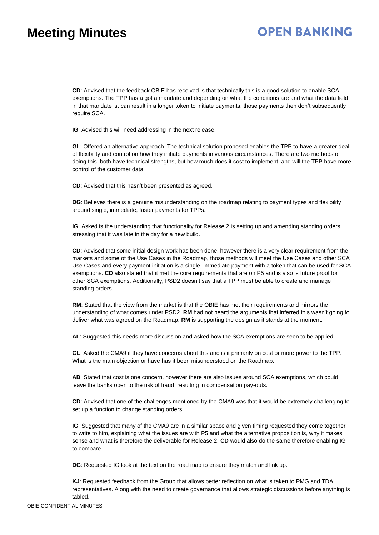# **OPEN BANKING**

**CD**: Advised that the feedback OBIE has received is that technically this is a good solution to enable SCA exemptions. The TPP has a got a mandate and depending on what the conditions are and what the data field in that mandate is, can result in a longer token to initiate payments, those payments then don't subsequently require SCA.

**IG**: Advised this will need addressing in the next release.

**GL**: Offered an alternative approach. The technical solution proposed enables the TPP to have a greater deal of flexibility and control on how they initiate payments in various circumstances. There are two methods of doing this, both have technical strengths, but how much does it cost to implement and will the TPP have more control of the customer data.

**CD**: Advised that this hasn't been presented as agreed.

**DG**: Believes there is a genuine misunderstanding on the roadmap relating to payment types and flexibility around single, immediate, faster payments for TPPs.

**IG**: Asked is the understanding that functionality for Release 2 is setting up and amending standing orders, stressing that it was late in the day for a new build.

**CD**: Advised that some initial design work has been done, however there is a very clear requirement from the markets and some of the Use Cases in the Roadmap, those methods will meet the Use Cases and other SCA Use Cases and every payment initiation is a single, immediate payment with a token that can be used for SCA exemptions. **CD** also stated that it met the core requirements that are on P5 and is also is future proof for other SCA exemptions. Additionally, PSD2 doesn't say that a TPP must be able to create and manage standing orders.

**RM**: Stated that the view from the market is that the OBIE has met their requirements and mirrors the understanding of what comes under PSD2. **RM** had not heard the arguments that inferred this wasn't going to deliver what was agreed on the Roadmap. **RM** is supporting the design as it stands at the moment.

**AL**: Suggested this needs more discussion and asked how the SCA exemptions are seen to be applied.

**GL**: Asked the CMA9 if they have concerns about this and is it primarily on cost or more power to the TPP. What is the main objection or have has it been misunderstood on the Roadmap.

**AB**: Stated that cost is one concern, however there are also issues around SCA exemptions, which could leave the banks open to the risk of fraud, resulting in compensation pay-outs.

**CD**: Advised that one of the challenges mentioned by the CMA9 was that it would be extremely challenging to set up a function to change standing orders.

**IG**: Suggested that many of the CMA9 are in a similar space and given timing requested they come together to write to him, explaining what the issues are with P5 and what the alternative proposition is, why it makes sense and what is therefore the deliverable for Release 2. **CD** would also do the same therefore enabling IG to compare.

**DG**: Requested IG look at the text on the road map to ensure they match and link up.

**KJ**: Requested feedback from the Group that allows better reflection on what is taken to PMG and TDA representatives. Along with the need to create governance that allows strategic discussions before anything is tabled.